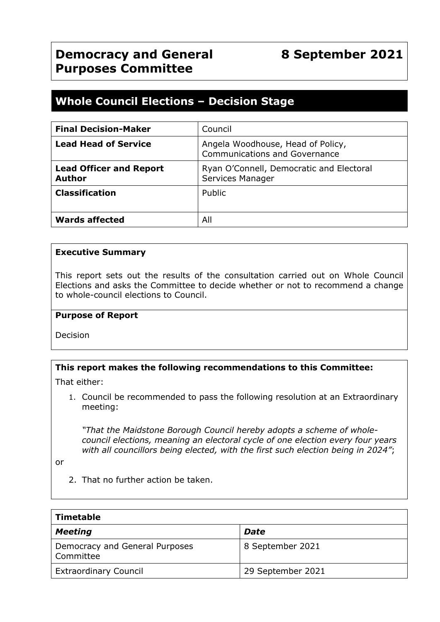# **Whole Council Elections – Decision Stage**

| <b>Final Decision-Maker</b>                     | Council                                                                   |
|-------------------------------------------------|---------------------------------------------------------------------------|
| <b>Lead Head of Service</b>                     | Angela Woodhouse, Head of Policy,<br><b>Communications and Governance</b> |
| <b>Lead Officer and Report</b><br><b>Author</b> | Ryan O'Connell, Democratic and Electoral<br>Services Manager              |
| <b>Classification</b>                           | Public                                                                    |
| <b>Wards affected</b>                           | All                                                                       |

# **Executive Summary**

This report sets out the results of the consultation carried out on Whole Council Elections and asks the Committee to decide whether or not to recommend a change to whole-council elections to Council.

#### **Purpose of Report**

Decision

# **This report makes the following recommendations to this Committee:**

That either:

1. Council be recommended to pass the following resolution at an Extraordinary meeting:

*"That the Maidstone Borough Council hereby adopts a scheme of wholecouncil elections, meaning an electoral cycle of one election every four years with all councillors being elected, with the first such election being in 2024"*;

or

2. That no further action be taken.

| <b>Timetable</b>                            |                   |  |  |
|---------------------------------------------|-------------------|--|--|
| <b>Meeting</b>                              | <b>Date</b>       |  |  |
| Democracy and General Purposes<br>Committee | 8 September 2021  |  |  |
| <b>Extraordinary Council</b>                | 29 September 2021 |  |  |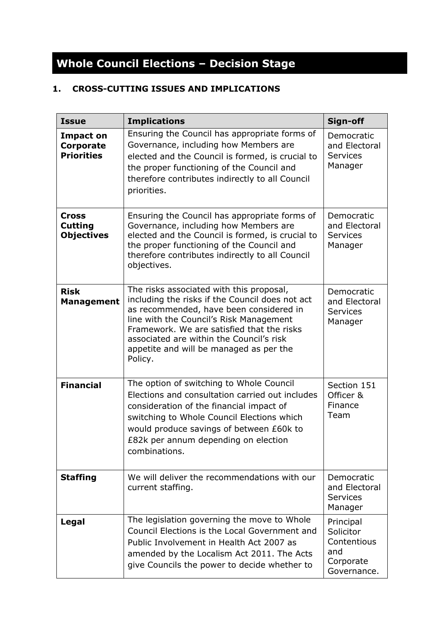# **Whole Council Elections – Decision Stage**

# **1. CROSS-CUTTING ISSUES AND IMPLICATIONS**

| <b>Issue</b>                                              | <b>Implications</b>                                                                                                                                                                                                                                                                                                               | Sign-off                                                                 |
|-----------------------------------------------------------|-----------------------------------------------------------------------------------------------------------------------------------------------------------------------------------------------------------------------------------------------------------------------------------------------------------------------------------|--------------------------------------------------------------------------|
| <b>Impact on</b><br><b>Corporate</b><br><b>Priorities</b> | Ensuring the Council has appropriate forms of<br>Governance, including how Members are<br>elected and the Council is formed, is crucial to<br>the proper functioning of the Council and<br>therefore contributes indirectly to all Council<br>priorities.                                                                         | Democratic<br>and Electoral<br><b>Services</b><br>Manager                |
| <b>Cross</b><br><b>Cutting</b><br><b>Objectives</b>       | Ensuring the Council has appropriate forms of<br>Governance, including how Members are<br>elected and the Council is formed, is crucial to<br>the proper functioning of the Council and<br>therefore contributes indirectly to all Council<br>objectives.                                                                         | Democratic<br>and Electoral<br><b>Services</b><br>Manager                |
| <b>Risk</b><br><b>Management</b>                          | The risks associated with this proposal,<br>including the risks if the Council does not act<br>as recommended, have been considered in<br>line with the Council's Risk Management<br>Framework. We are satisfied that the risks<br>associated are within the Council's risk<br>appetite and will be managed as per the<br>Policy. | Democratic<br>and Electoral<br><b>Services</b><br>Manager                |
| <b>Financial</b>                                          | The option of switching to Whole Council<br>Elections and consultation carried out includes<br>consideration of the financial impact of<br>switching to Whole Council Elections which<br>would produce savings of between £60k to<br>£82k per annum depending on election<br>combinations.                                        | Section 151<br>Officer &<br>Finance<br>Team                              |
| <b>Staffing</b>                                           | We will deliver the recommendations with our<br>current staffing.                                                                                                                                                                                                                                                                 | Democratic<br>and Electoral<br><b>Services</b><br>Manager                |
| Legal                                                     | The legislation governing the move to Whole<br>Council Elections is the Local Government and<br>Public Involvement in Health Act 2007 as<br>amended by the Localism Act 2011. The Acts<br>give Councils the power to decide whether to                                                                                            | Principal<br>Solicitor<br>Contentious<br>and<br>Corporate<br>Governance. |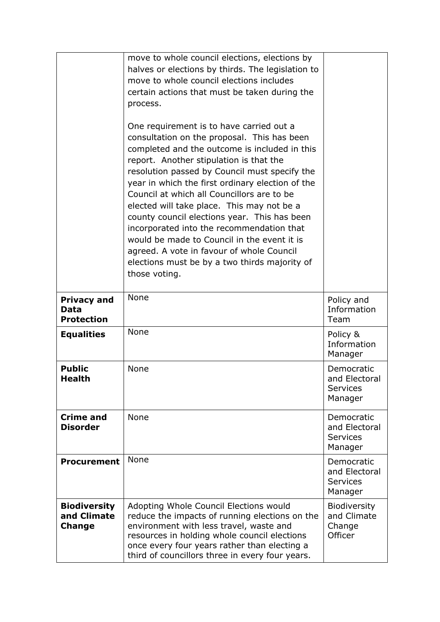|                                                        | move to whole council elections, elections by<br>halves or elections by thirds. The legislation to<br>move to whole council elections includes<br>certain actions that must be taken during the<br>process.<br>One requirement is to have carried out a<br>consultation on the proposal. This has been<br>completed and the outcome is included in this<br>report. Another stipulation is that the<br>resolution passed by Council must specify the<br>year in which the first ordinary election of the<br>Council at which all Councillors are to be<br>elected will take place. This may not be a<br>county council elections year. This has been<br>incorporated into the recommendation that<br>would be made to Council in the event it is<br>agreed. A vote in favour of whole Council<br>elections must be by a two thirds majority of<br>those voting. |                                                           |
|--------------------------------------------------------|----------------------------------------------------------------------------------------------------------------------------------------------------------------------------------------------------------------------------------------------------------------------------------------------------------------------------------------------------------------------------------------------------------------------------------------------------------------------------------------------------------------------------------------------------------------------------------------------------------------------------------------------------------------------------------------------------------------------------------------------------------------------------------------------------------------------------------------------------------------|-----------------------------------------------------------|
| <b>Privacy and</b><br><b>Data</b><br><b>Protection</b> | None                                                                                                                                                                                                                                                                                                                                                                                                                                                                                                                                                                                                                                                                                                                                                                                                                                                           | Policy and<br>Information<br>Team                         |
| <b>Equalities</b>                                      | None                                                                                                                                                                                                                                                                                                                                                                                                                                                                                                                                                                                                                                                                                                                                                                                                                                                           | Policy &<br>Information<br>Manager                        |
| <b>Public</b><br>Health                                | None                                                                                                                                                                                                                                                                                                                                                                                                                                                                                                                                                                                                                                                                                                                                                                                                                                                           | Democratic<br>and Electoral<br><b>Services</b><br>Manager |
| <b>Crime and</b><br><b>Disorder</b>                    | <b>None</b>                                                                                                                                                                                                                                                                                                                                                                                                                                                                                                                                                                                                                                                                                                                                                                                                                                                    | Democratic<br>and Electoral<br><b>Services</b><br>Manager |
| <b>Procurement</b>                                     | None                                                                                                                                                                                                                                                                                                                                                                                                                                                                                                                                                                                                                                                                                                                                                                                                                                                           | Democratic<br>and Electoral<br><b>Services</b><br>Manager |
| <b>Biodiversity</b><br>and Climate<br><b>Change</b>    | Adopting Whole Council Elections would<br>reduce the impacts of running elections on the<br>environment with less travel, waste and<br>resources in holding whole council elections<br>once every four years rather than electing a<br>third of councillors three in every four years.                                                                                                                                                                                                                                                                                                                                                                                                                                                                                                                                                                         | Biodiversity<br>and Climate<br>Change<br>Officer          |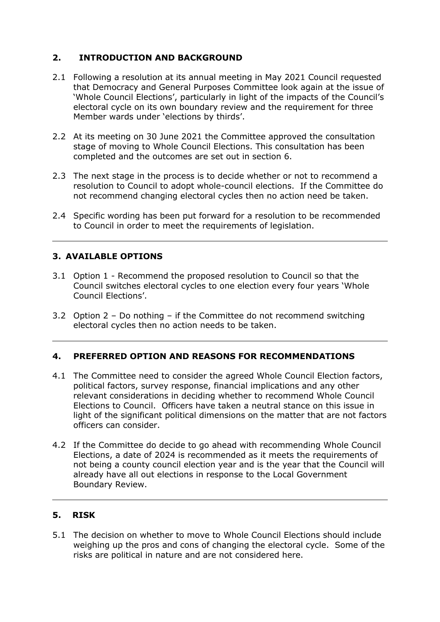# **2. INTRODUCTION AND BACKGROUND**

- 2.1 Following a resolution at its annual meeting in May 2021 Council requested that Democracy and General Purposes Committee look again at the issue of 'Whole Council Elections', particularly in light of the impacts of the Council's electoral cycle on its own boundary review and the requirement for three Member wards under 'elections by thirds'.
- 2.2 At its meeting on 30 June 2021 the Committee approved the consultation stage of moving to Whole Council Elections. This consultation has been completed and the outcomes are set out in section 6.
- 2.3 The next stage in the process is to decide whether or not to recommend a resolution to Council to adopt whole-council elections. If the Committee do not recommend changing electoral cycles then no action need be taken.
- 2.4 Specific wording has been put forward for a resolution to be recommended to Council in order to meet the requirements of legislation.

# **3. AVAILABLE OPTIONS**

- 3.1 Option 1 Recommend the proposed resolution to Council so that the Council switches electoral cycles to one election every four years 'Whole Council Elections'.
- 3.2 Option 2 Do nothing if the Committee do not recommend switching electoral cycles then no action needs to be taken.

# **4. PREFERRED OPTION AND REASONS FOR RECOMMENDATIONS**

- 4.1 The Committee need to consider the agreed Whole Council Election factors, political factors, survey response, financial implications and any other relevant considerations in deciding whether to recommend Whole Council Elections to Council. Officers have taken a neutral stance on this issue in light of the significant political dimensions on the matter that are not factors officers can consider.
- 4.2 If the Committee do decide to go ahead with recommending Whole Council Elections, a date of 2024 is recommended as it meets the requirements of not being a county council election year and is the year that the Council will already have all out elections in response to the Local Government Boundary Review.

# **5. RISK**

5.1 The decision on whether to move to Whole Council Elections should include weighing up the pros and cons of changing the electoral cycle. Some of the risks are political in nature and are not considered here.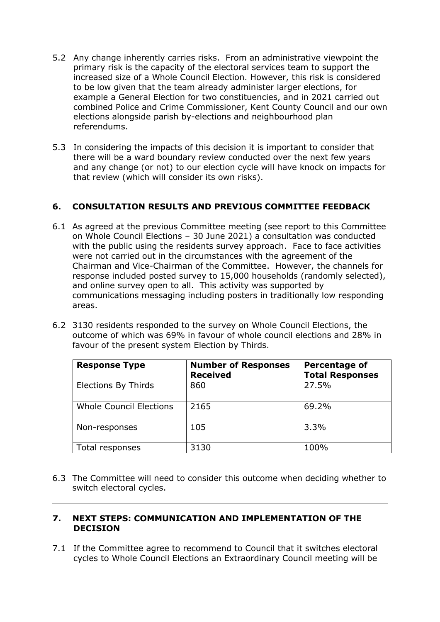- 5.2 Any change inherently carries risks. From an administrative viewpoint the primary risk is the capacity of the electoral services team to support the increased size of a Whole Council Election. However, this risk is considered to be low given that the team already administer larger elections, for example a General Election for two constituencies, and in 2021 carried out combined Police and Crime Commissioner, Kent County Council and our own elections alongside parish by-elections and neighbourhood plan referendums.
- 5.3 In considering the impacts of this decision it is important to consider that there will be a ward boundary review conducted over the next few years and any change (or not) to our election cycle will have knock on impacts for that review (which will consider its own risks).

# **6. CONSULTATION RESULTS AND PREVIOUS COMMITTEE FEEDBACK**

- 6.1 As agreed at the previous Committee meeting (see report to this Committee on Whole Council Elections – 30 June 2021) a consultation was conducted with the public using the residents survey approach. Face to face activities were not carried out in the circumstances with the agreement of the Chairman and Vice-Chairman of the Committee. However, the channels for response included posted survey to 15,000 households (randomly selected), and online survey open to all. This activity was supported by communications messaging including posters in traditionally low responding areas.
- 6.2 3130 residents responded to the survey on Whole Council Elections, the outcome of which was 69% in favour of whole council elections and 28% in favour of the present system Election by Thirds.

| <b>Response Type</b>           | <b>Number of Responses</b><br><b>Received</b> | <b>Percentage of</b><br><b>Total Responses</b> |
|--------------------------------|-----------------------------------------------|------------------------------------------------|
| <b>Elections By Thirds</b>     | 860                                           | 27.5%                                          |
| <b>Whole Council Elections</b> | 2165                                          | 69.2%                                          |
| Non-responses                  | 105                                           | 3.3%                                           |
| Total responses                | 3130                                          | 100%                                           |

6.3 The Committee will need to consider this outcome when deciding whether to switch electoral cycles.

#### **7. NEXT STEPS: COMMUNICATION AND IMPLEMENTATION OF THE DECISION**

7.1 If the Committee agree to recommend to Council that it switches electoral cycles to Whole Council Elections an Extraordinary Council meeting will be